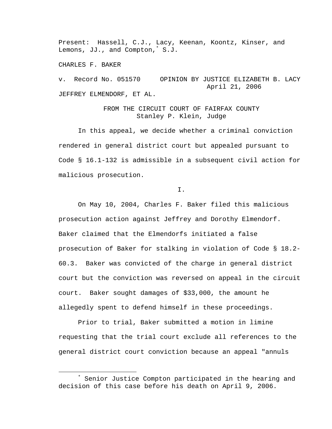Present: Hassell, C.J., Lacy, Keenan, Koontz, Kinser, and Lemons, JJ., and Compton,\* S.J.

CHARLES F. BAKER

v. Record No. 051570 OPINION BY JUSTICE ELIZABETH B. LACY April 21, 2006 JEFFREY ELMENDORF, ET AL.

> FROM THE CIRCUIT COURT OF FAIRFAX COUNTY Stanley P. Klein, Judge

In this appeal, we decide whether a criminal conviction rendered in general district court but appealed pursuant to Code § 16.1-132 is admissible in a subsequent civil action for malicious prosecution.

I.

On May 10, 2004, Charles F. Baker filed this malicious prosecution action against Jeffrey and Dorothy Elmendorf. Baker claimed that the Elmendorfs initiated a false prosecution of Baker for stalking in violation of Code § 18.2- 60.3. Baker was convicted of the charge in general district court but the conviction was reversed on appeal in the circuit court. Baker sought damages of \$33,000, the amount he allegedly spent to defend himself in these proceedings.

Prior to trial, Baker submitted a motion in limine requesting that the trial court exclude all references to the general district court conviction because an appeal "annuls

 $\overline{\phantom{a}}$  Senior Justice Compton participated in the hearing and decision of this case before his death on April 9, 2006.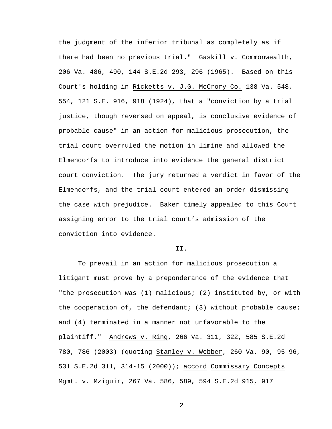the judgment of the inferior tribunal as completely as if there had been no previous trial." Gaskill v. Commonwealth, 206 Va. 486, 490, 144 S.E.2d 293, 296 (1965). Based on this Court's holding in Ricketts v. J.G. McCrory Co. 138 Va. 548, 554, 121 S.E. 916, 918 (1924), that a "conviction by a trial justice, though reversed on appeal, is conclusive evidence of probable cause" in an action for malicious prosecution, the trial court overruled the motion in limine and allowed the Elmendorfs to introduce into evidence the general district court conviction. The jury returned a verdict in favor of the Elmendorfs, and the trial court entered an order dismissing the case with prejudice. Baker timely appealed to this Court assigning error to the trial court's admission of the conviction into evidence.

## II.

To prevail in an action for malicious prosecution a litigant must prove by a preponderance of the evidence that "the prosecution was (1) malicious; (2) instituted by, or with the cooperation of, the defendant; (3) without probable cause; and (4) terminated in a manner not unfavorable to the plaintiff." Andrews v. Ring, 266 Va. 311, 322, 585 S.E.2d 780, 786 (2003) (quoting Stanley v. Webber, 260 Va. 90, 95-96, 531 S.E.2d 311, 314-15 (2000)); accord Commissary Concepts Mgmt. v. Mziguir, 267 Va. 586, 589, 594 S.E.2d 915, 917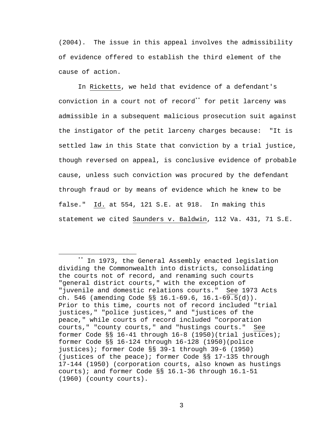(2004). The issue in this appeal involves the admissibility of evidence offered to establish the third element of the cause of action.

In Ricketts, we held that evidence of a defendant's conviction in a court not of record\*\* for petit larceny was admissible in a subsequent malicious prosecution suit against the instigator of the petit larceny charges because: "It is settled law in this State that conviction by a trial justice, though reversed on appeal, is conclusive evidence of probable cause, unless such conviction was procured by the defendant through fraud or by means of evidence which he knew to be false." Id. at 554, 121 S.E. at 918. In making this statement we cited Saunders v. Baldwin, 112 Va. 431, 71 S.E.

 <sup>\*\*</sup> In 1973, the General Assembly enacted legislation dividing the Commonwealth into districts, consolidating the courts not of record, and renaming such courts "general district courts," with the exception of "juvenile and domestic relations courts." See 1973 Acts ch. 546 (amending Code §§ 16.1-69.6, 16.1-69.5(d)). Prior to this time, courts not of record included "trial justices," "police justices," and "justices of the peace," while courts of record included "corporation courts," "county courts," and "hustings courts." See former Code §§ 16-41 through 16-8 (1950)(trial justices); former Code §§ 16-124 through 16-128 (1950)(police justices); former Code §§ 39-1 through 39-6 (1950) (justices of the peace); former Code §§ 17-135 through 17-144 (1950) (corporation courts, also known as hustings courts); and former Code §§ 16.1-36 through 16.1-51 (1960) (county courts).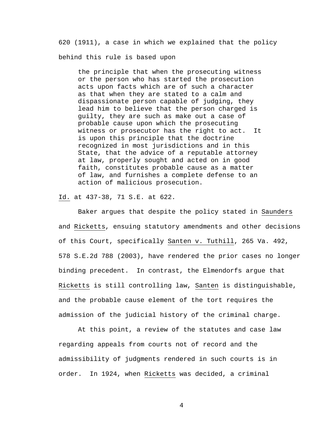620 (1911), a case in which we explained that the policy behind this rule is based upon

the principle that when the prosecuting witness or the person who has started the prosecution acts upon facts which are of such a character as that when they are stated to a calm and dispassionate person capable of judging, they lead him to believe that the person charged is guilty, they are such as make out a case of probable cause upon which the prosecuting witness or prosecutor has the right to act. It is upon this principle that the doctrine recognized in most jurisdictions and in this State, that the advice of a reputable attorney at law, properly sought and acted on in good faith, constitutes probable cause as a matter of law, and furnishes a complete defense to an action of malicious prosecution.

Id. at 437-38, 71 S.E. at 622.

Baker argues that despite the policy stated in Saunders and Ricketts, ensuing statutory amendments and other decisions of this Court, specifically Santen v. Tuthill, 265 Va. 492, 578 S.E.2d 788 (2003), have rendered the prior cases no longer binding precedent. In contrast, the Elmendorfs argue that Ricketts is still controlling law, Santen is distinguishable, and the probable cause element of the tort requires the admission of the judicial history of the criminal charge.

At this point, a review of the statutes and case law regarding appeals from courts not of record and the admissibility of judgments rendered in such courts is in order. In 1924, when Ricketts was decided, a criminal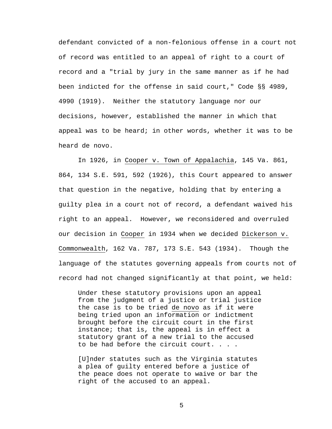defendant convicted of a non-felonious offense in a court not of record was entitled to an appeal of right to a court of record and a "trial by jury in the same manner as if he had been indicted for the offense in said court," Code §§ 4989, 4990 (1919). Neither the statutory language nor our decisions, however, established the manner in which that appeal was to be heard; in other words, whether it was to be heard de novo.

In 1926, in Cooper v. Town of Appalachia, 145 Va. 861, 864, 134 S.E. 591, 592 (1926), this Court appeared to answer that question in the negative, holding that by entering a guilty plea in a court not of record, a defendant waived his right to an appeal. However, we reconsidered and overruled our decision in Cooper in 1934 when we decided Dickerson v. Commonwealth, 162 Va. 787, 173 S.E. 543 (1934). Though the language of the statutes governing appeals from courts not of record had not changed significantly at that point, we held:

Under these statutory provisions upon an appeal from the judgment of a justice or trial justice the case is to be tried de novo as if it were being tried upon an information or indictment brought before the circuit court in the first instance; that is, the appeal is in effect a statutory grant of a new trial to the accused to be had before the circuit court. . . .

[U]nder statutes such as the Virginia statutes a plea of guilty entered before a justice of the peace does not operate to waive or bar the right of the accused to an appeal.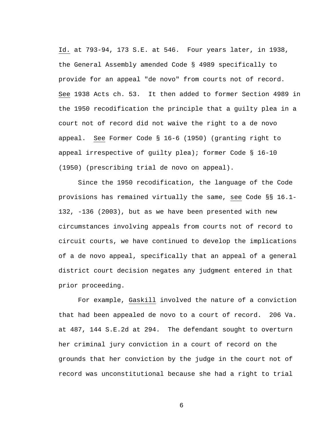Id. at 793-94, 173 S.E. at 546. Four years later, in 1938, the General Assembly amended Code § 4989 specifically to provide for an appeal "de novo" from courts not of record. See 1938 Acts ch. 53. It then added to former Section 4989 in the 1950 recodification the principle that a guilty plea in a court not of record did not waive the right to a de novo appeal. See Former Code § 16-6 (1950) (granting right to appeal irrespective of guilty plea); former Code § 16-10 (1950) (prescribing trial de novo on appeal).

Since the 1950 recodification, the language of the Code provisions has remained virtually the same, see Code §§ 16.1- 132, -136 (2003), but as we have been presented with new circumstances involving appeals from courts not of record to circuit courts, we have continued to develop the implications of a de novo appeal, specifically that an appeal of a general district court decision negates any judgment entered in that prior proceeding.

For example, Gaskill involved the nature of a conviction that had been appealed de novo to a court of record. 206 Va. at 487, 144 S.E.2d at 294. The defendant sought to overturn her criminal jury conviction in a court of record on the grounds that her conviction by the judge in the court not of record was unconstitutional because she had a right to trial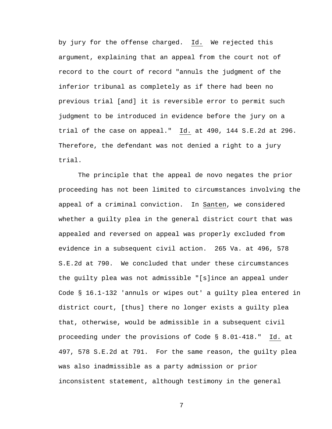by jury for the offense charged. Id. We rejected this argument, explaining that an appeal from the court not of record to the court of record "annuls the judgment of the inferior tribunal as completely as if there had been no previous trial [and] it is reversible error to permit such judgment to be introduced in evidence before the jury on a trial of the case on appeal." Id. at 490, 144 S.E.2d at 296. Therefore, the defendant was not denied a right to a jury trial.

The principle that the appeal de novo negates the prior proceeding has not been limited to circumstances involving the appeal of a criminal conviction. In Santen, we considered whether a guilty plea in the general district court that was appealed and reversed on appeal was properly excluded from evidence in a subsequent civil action. 265 Va. at 496, 578 S.E.2d at 790. We concluded that under these circumstances the guilty plea was not admissible "[s]ince an appeal under Code § 16.1-132 'annuls or wipes out' a guilty plea entered in district court, [thus] there no longer exists a guilty plea that, otherwise, would be admissible in a subsequent civil proceeding under the provisions of Code § 8.01-418." Id. at 497, 578 S.E.2d at 791. For the same reason, the guilty plea was also inadmissible as a party admission or prior inconsistent statement, although testimony in the general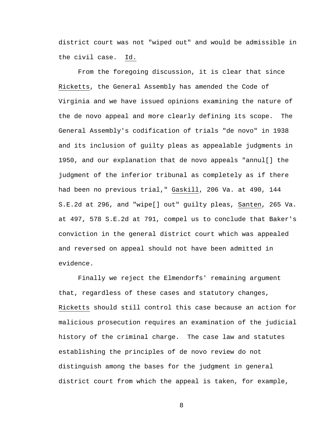district court was not "wiped out" and would be admissible in the civil case. Id.

From the foregoing discussion, it is clear that since Ricketts, the General Assembly has amended the Code of Virginia and we have issued opinions examining the nature of the de novo appeal and more clearly defining its scope. The General Assembly's codification of trials "de novo" in 1938 and its inclusion of guilty pleas as appealable judgments in 1950, and our explanation that de novo appeals "annul[] the judgment of the inferior tribunal as completely as if there had been no previous trial," Gaskill, 206 Va. at 490, 144 S.E.2d at 296, and "wipe[] out" guilty pleas, Santen, 265 Va. at 497, 578 S.E.2d at 791, compel us to conclude that Baker's conviction in the general district court which was appealed and reversed on appeal should not have been admitted in evidence.

Finally we reject the Elmendorfs' remaining argument that, regardless of these cases and statutory changes, Ricketts should still control this case because an action for malicious prosecution requires an examination of the judicial history of the criminal charge. The case law and statutes establishing the principles of de novo review do not distinguish among the bases for the judgment in general district court from which the appeal is taken, for example,